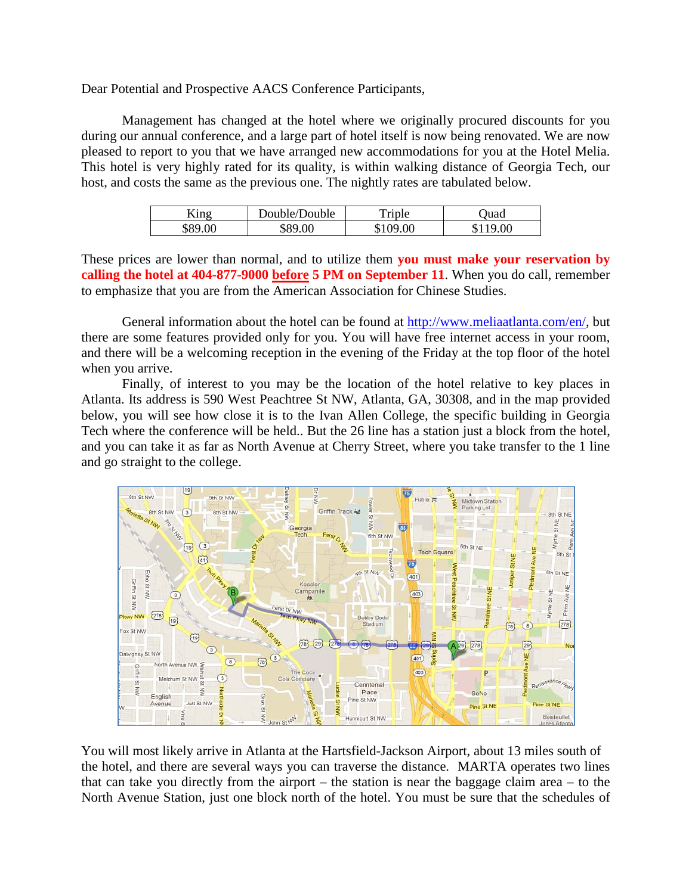Dear Potential and Prospective AACS Conference Participants,

Management has changed at the hotel where we originally procured discounts for you during our annual conference, and a large part of hotel itself is now being renovated. We are now pleased to report to you that we have arranged new accommodations for you at the Hotel Melia. This hotel is very highly rated for its quality, is within walking distance of Georgia Tech, our host, and costs the same as the previous one. The nightly rates are tabulated below.

| King    | Double/Double | Triple   | Juad     |
|---------|---------------|----------|----------|
| \$89.00 | \$89.00       | \$109.00 | \$119.00 |

These prices are lower than normal, and to utilize them **you must make your reservation by calling the hotel at 404-877-9000 before 5 PM on September 11**. When you do call, remember to emphasize that you are from the American Association for Chinese Studies.

General information about the hotel can be found at [http://www.meliaatlanta.com/en/,](http://www.meliaatlanta.com/en/) but there are some features provided only for you. You will have free internet access in your room, and there will be a welcoming reception in the evening of the Friday at the top floor of the hotel when you arrive.

Finally, of interest to you may be the location of the hotel relative to key places in Atlanta. Its address is 590 West Peachtree St NW, Atlanta, GA, 30308, and in the map provided below, you will see how close it is to the Ivan Allen College, the specific building in Georgia Tech where the conference will be held.. But the 26 line has a station just a block from the hotel, and you can take it as far as North Avenue at Cherry Street, where you take transfer to the 1 line and go straight to the college.



You will most likely arrive in Atlanta at the Hartsfield-Jackson Airport, about 13 miles south of the hotel, and there are several ways you can traverse the distance. MARTA operates two lines that can take you directly from the airport – the station is near the baggage claim area – to the North Avenue Station, just one block north of the hotel. You must be sure that the schedules of